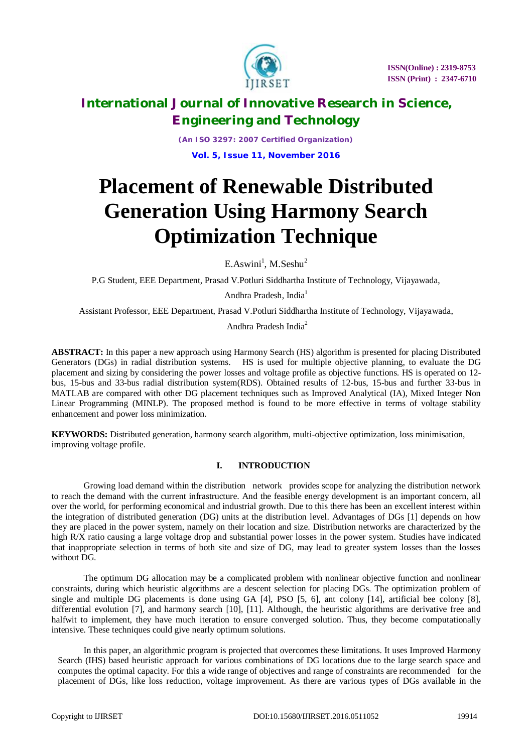

*(An ISO 3297: 2007 Certified Organization)* **Vol. 5, Issue 11, November 2016**

# **Placement of Renewable Distributed Generation Using Harmony Search Optimization Technique**

 $E.Aswini<sup>1</sup>, M.Seshu<sup>2</sup>$ 

P.G Student, EEE Department, Prasad V.Potluri Siddhartha Institute of Technology, Vijayawada,

Andhra Pradesh, India<sup>1</sup>

Assistant Professor, EEE Department, Prasad V.Potluri Siddhartha Institute of Technology, Vijayawada,

Andhra Pradesh India<sup>2</sup>

**ABSTRACT:** In this paper a new approach using Harmony Search (HS) algorithm is presented for placing Distributed Generators (DGs) in radial distribution systems. HS is used for multiple objective planning, to evaluate the DG placement and sizing by considering the power losses and voltage profile as objective functions. HS is operated on 12 bus, 15-bus and 33-bus radial distribution system(RDS). Obtained results of 12-bus, 15-bus and further 33-bus in MATLAB are compared with other DG placement techniques such as Improved Analytical (IA), Mixed Integer Non Linear Programming (MINLP). The proposed method is found to be more effective in terms of voltage stability enhancement and power loss minimization.

**KEYWORDS:** Distributed generation, harmony search algorithm, multi-objective optimization, loss minimisation, improving voltage profile.

### **I. INTRODUCTION**

Growing load demand within the distribution network provides scope for analyzing the distribution network to reach the demand with the current infrastructure. And the feasible energy development is an important concern, all over the world, for performing economical and industrial growth. Due to this there has been an excellent interest within the integration of distributed generation (DG) units at the distribution level. Advantages of DGs [1] depends on how they are placed in the power system, namely on their location and size. Distribution networks are characterized by the high R/X ratio causing a large voltage drop and substantial power losses in the power system. Studies have indicated that inappropriate selection in terms of both site and size of DG, may lead to greater system losses than the losses without DG.

 The optimum DG allocation may be a complicated problem with nonlinear objective function and nonlinear constraints, during which heuristic algorithms are a descent selection for placing DGs. The optimization problem of single and multiple DG placements is done using GA [4], PSO [5, 6], ant colony [14], artificial bee colony [8], differential evolution [7], and harmony search [10], [11]. Although, the heuristic algorithms are derivative free and halfwit to implement, they have much iteration to ensure converged solution. Thus, they become computationally intensive. These techniques could give nearly optimum solutions.

 In this paper, an algorithmic program is projected that overcomes these limitations. It uses Improved Harmony Search (IHS) based heuristic approach for various combinations of DG locations due to the large search space and computes the optimal capacity. For this a wide range of objectives and range of constraints are recommended for the placement of DGs, like loss reduction, voltage improvement. As there are various types of DGs available in the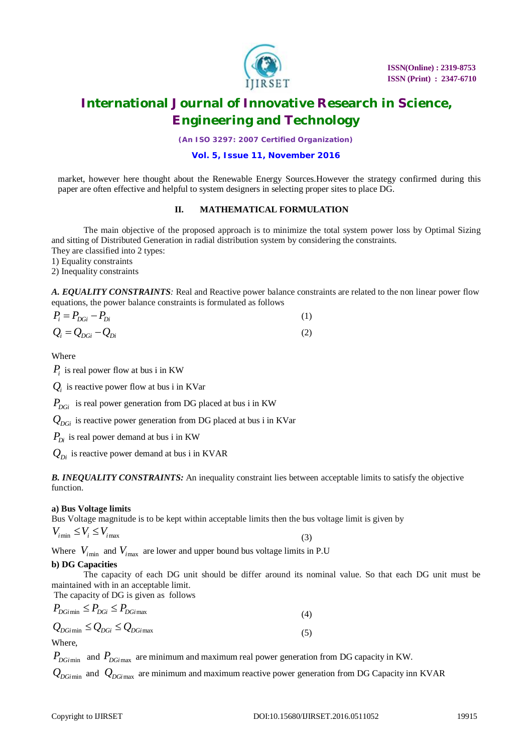

*(An ISO 3297: 2007 Certified Organization)*

### **Vol. 5, Issue 11, November 2016**

market, however here thought about the Renewable Energy Sources.However the strategy confirmed during this paper are often effective and helpful to system designers in selecting proper sites to place DG.

### **II. MATHEMATICAL FORMULATION**

The main objective of the proposed approach is to minimize the total system power loss by Optimal Sizing and sitting of Distributed Generation in radial distribution system by considering the constraints. They are classified into 2 types:

1) Equality constraints

2) Inequality constraints

*A. EQUALITY CONSTRAINTS:* Real and Reactive power balance constraints are related to the non linear power flow equations, the power balance constraints is formulated as follows

| $P_i = P_{DGi} - P_{Di}$ |  |
|--------------------------|--|
| $Q_i = Q_{DGi} - Q_{Di}$ |  |

Where

 $P_i$  is real power flow at bus i in KW

 $Q_i$  is reactive power flow at bus i in KVar

 $P_{DGi}$  is real power generation from DG placed at bus i in KW

 $Q_{DGi}$  is reactive power generation from DG placed at bus i in KVar

 $P_{Di}$  is real power demand at bus i in KW

 $Q_{Di}$  is reactive power demand at bus i in KVAR

*B. INEQUALITY CONSTRAINTS:* An inequality constraint lies between acceptable limits to satisfy the objective function.

### **a) Bus Voltage limits**

Bus Voltage magnitude is to be kept within acceptable limits then the bus voltage limit is given by

$$
V_{i_{\min}} \le V_i \le V_{i_{\max}} \tag{3}
$$

Where  $V_{\text{min}}$  and  $V_{\text{max}}$  are lower and upper bound bus voltage limits in P.U

### **b) DG Capacities**

The capacity of each DG unit should be differ around its nominal value. So that each DG unit must be maintained with in an acceptable limit.

The capacity of DG is given as follows

$$
P_{DGi \text{ min}} \le P_{DGi} \le P_{DGi \text{ max}}
$$
\n
$$
Q_{DGi \text{ min}} \le Q_{DGi} \le Q_{DGi \text{ max}}
$$
\n(4)

**Where** 

*PDGi*min and *PDGi*max are minimum and maximum real power generation from DG capacity in KW.

*QDGi*min and *QDGi*max are minimum and maximum reactive power generation from DG Capacity inn KVAR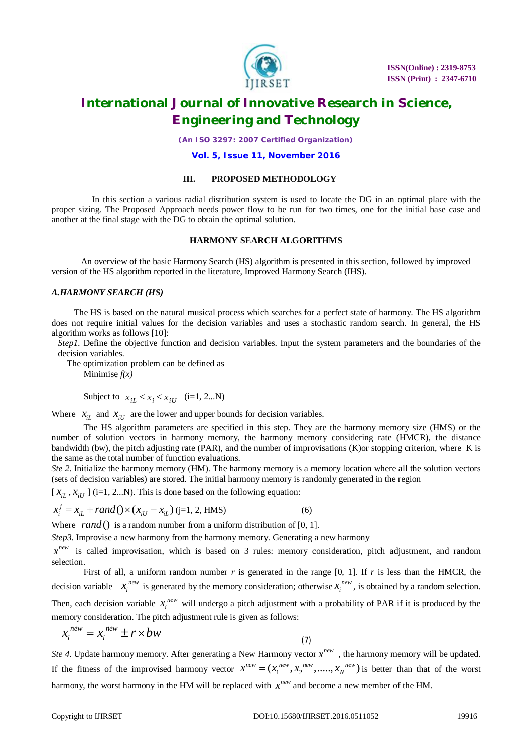

*(An ISO 3297: 2007 Certified Organization)*

#### **Vol. 5, Issue 11, November 2016**

#### **III. PROPOSED METHODOLOGY**

 In this section a various radial distribution system is used to locate the DG in an optimal place with the proper sizing. The Proposed Approach needs power flow to be run for two times, one for the initial base case and another at the final stage with the DG to obtain the optimal solution.

#### **HARMONY SEARCH ALGORITHMS**

 An overview of the basic Harmony Search (HS) algorithm is presented in this section, followed by improved version of the HS algorithm reported in the literature, Improved Harmony Search (IHS).

#### *A.HARMONY SEARCH (HS)*

The HS is based on the natural musical process which searches for a perfect state of harmony. The HS algorithm does not require initial values for the decision variables and uses a stochastic random search. In general, the HS algorithm works as follows [10]:

*Step1*. Define the objective function and decision variables. Input the system parameters and the boundaries of the decision variables.

 The optimization problem can be defined as Minimise *f(x)*

Subject to  $x_{i} \le x_i \le x_{i}$  (i=1, 2...N)

Where  $x_{iL}$  and  $x_{iU}$  are the lower and upper bounds for decision variables.

 The HS algorithm parameters are specified in this step. They are the harmony memory size (HMS) or the number of solution vectors in harmony memory, the harmony memory considering rate (HMCR), the distance bandwidth (bw), the pitch adjusting rate (PAR), and the number of improvisations (K)or stopping criterion, where K is the same as the total number of function evaluations.

*Ste 2*. Initialize the harmony memory (HM). The harmony memory is a memory location where all the solution vectors (sets of decision variables) are stored. The initial harmony memory is randomly generated in the region

 $[X_{iL}, X_{iU}]$  (i=1, 2...N). This is done based on the following equation:

$$
x_i^j = x_{iL} + rand() \times (x_{iU} - x_{iL}) \text{ (j=1, 2, HMS)}
$$
 (6)

Where *rand* () is a random number from a uniform distribution of [0, 1].

*Step3*. Improvise a new harmony from the harmony memory. Generating a new harmony

 $x^{new}$  is called improvisation, which is based on 3 rules: memory consideration, pitch adjustment, and random selection.

First of all, a uniform random number  $r$  is generated in the range [0, 1]. If  $r$  is less than the HMCR, the decision variable  $x_i^{new}$  is generated by the memory consideration; otherwise  $x_i^{new}$ , is obtained by a random selection.

Then, each decision variable  $x_i^{new}$  will undergo a pitch adjustment with a probability of PAR if it is produced by the memory consideration. The pitch adjustment rule is given as follows:

$$
x_i^{new} = x_i^{new} \pm r \times bw \tag{7}
$$

*Ste 4*. Update harmony memory. After generating a New Harmony vector  $x^{new}$ , the harmony memory will be updated. If the fitness of the improvised harmony vector  $x^{new} = (x_1^{new}, x_2^{new}, \dots, x_N^{new})$  is better than that of the worst harmony, the worst harmony in the HM will be replaced with  $x^{new}$  and become a new member of the HM.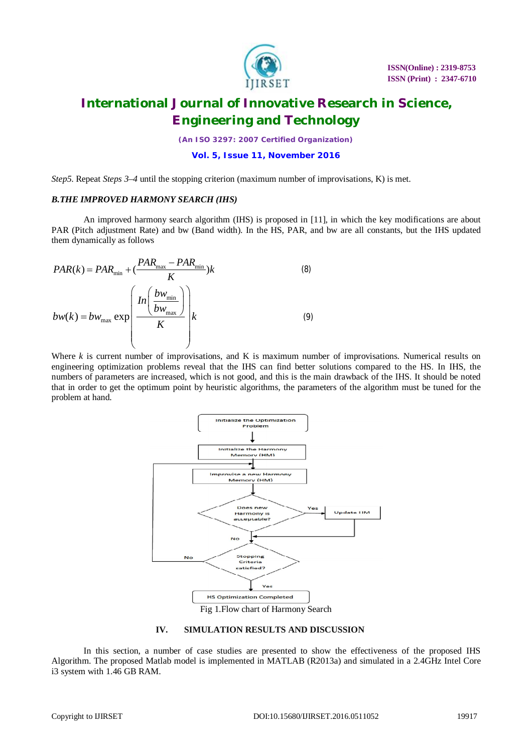

*(An ISO 3297: 2007 Certified Organization)*

#### **Vol. 5, Issue 11, November 2016**

*Step5*. Repeat *Steps 3–4* until the stopping criterion (maximum number of improvisations, K) is met.

#### *B.THE IMPROVED HARMONY SEARCH (IHS)*

An improved harmony search algorithm (IHS) is proposed in [11], in which the key modifications are about PAR (Pitch adjustment Rate) and bw (Band width). In the HS, PAR, and bw are all constants, but the IHS updated them dynamically as follows

$$
PAR(k) = PAR_{\min} + (\frac{PAR_{\max} - PAR_{\min}}{K})k
$$
\n
$$
bw(k) = bw_{\max} \exp\left(\frac{In\left(\frac{bw_{\min}}{bw_{\max}}\right)}{K}\right)k
$$
\n(9)

Where *k* is current number of improvisations, and K is maximum number of improvisations. Numerical results on engineering optimization problems reveal that the IHS can find better solutions compared to the HS. In IHS, the numbers of parameters are increased, which is not good, and this is the main drawback of the IHS. It should be noted that in order to get the optimum point by heuristic algorithms, the parameters of the algorithm must be tuned for the problem at hand.



#### **IV. SIMULATION RESULTS AND DISCUSSION**

In this section, a number of case studies are presented to show the effectiveness of the proposed IHS Algorithm. The proposed Matlab model is implemented in MATLAB (R2013a) and simulated in a 2.4GHz Intel Core i3 system with 1.46 GB RAM.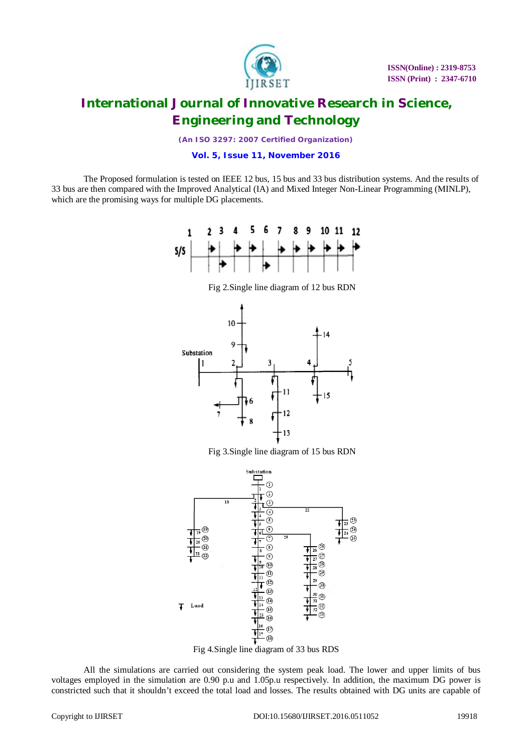

*(An ISO 3297: 2007 Certified Organization)*

**Vol. 5, Issue 11, November 2016**

The Proposed formulation is tested on IEEE 12 bus, 15 bus and 33 bus distribution systems. And the results of 33 bus are then compared with the Improved Analytical (IA) and Mixed Integer Non-Linear Programming (MINLP), which are the promising ways for multiple DG placements.



Fig 2.Single line diagram of 12 bus RDN



Fig 3.Single line diagram of 15 bus RDN



Fig 4.Single line diagram of 33 bus RDS

All the simulations are carried out considering the system peak load. The lower and upper limits of bus voltages employed in the simulation are 0.90 p.u and 1.05p.u respectively. In addition, the maximum DG power is constricted such that it shouldn't exceed the total load and losses. The results obtained with DG units are capable of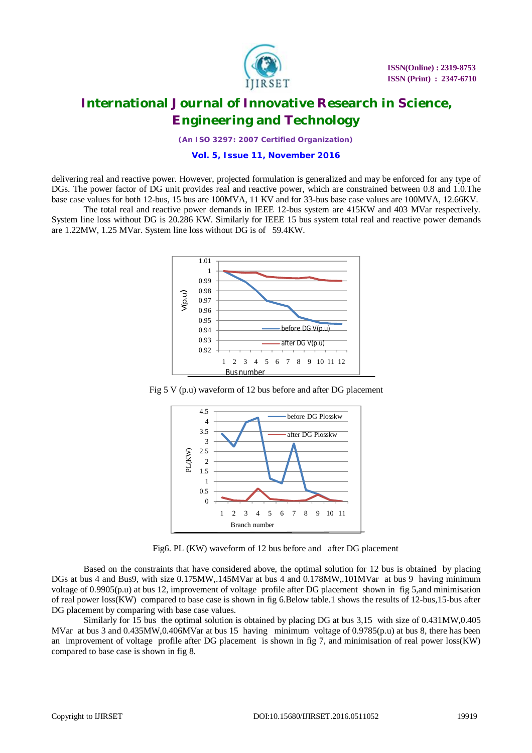

*(An ISO 3297: 2007 Certified Organization)*

#### **Vol. 5, Issue 11, November 2016**

delivering real and reactive power. However, projected formulation is generalized and may be enforced for any type of DGs. The power factor of DG unit provides real and reactive power, which are constrained between 0.8 and 1.0.The base case values for both 12-bus, 15 bus are 100MVA, 11 KV and for 33-bus base case values are 100MVA, 12.66KV.

The total real and reactive power demands in IEEE 12-bus system are 415KW and 403 MVar respectively. System line loss without DG is 20.286 KW. Similarly for IEEE 15 bus system total real and reactive power demands are 1.22MW, 1.25 MVar. System line loss without DG is of 59.4KW.



Fig 5 V (p.u) waveform of 12 bus before and after DG placement



Fig6. PL (KW) waveform of 12 bus before and after DG placement

Based on the constraints that have considered above, the optimal solution for 12 bus is obtained by placing DGs at bus 4 and Bus9, with size 0.175MW,.145MVar at bus 4 and 0.178MW,.101MVar at bus 9 having minimum voltage of 0.9905(p.u) at bus 12, improvement of voltage profile after DG placement shown in fig 5,and minimisation of real power loss(KW) compared to base case is shown in fig 6.Below table.1 shows the results of 12-bus,15-bus after DG placement by comparing with base case values.

Similarly for 15 bus the optimal solution is obtained by placing DG at bus 3,15 with size of 0.431MW,0.405 MVar at bus 3 and 0.435MW,0.406MVar at bus 15 having minimum voltage of 0.9785(p.u) at bus 8, there has been an improvement of voltage profile after DG placement is shown in fig 7, and minimisation of real power loss(KW) compared to base case is shown in fig 8.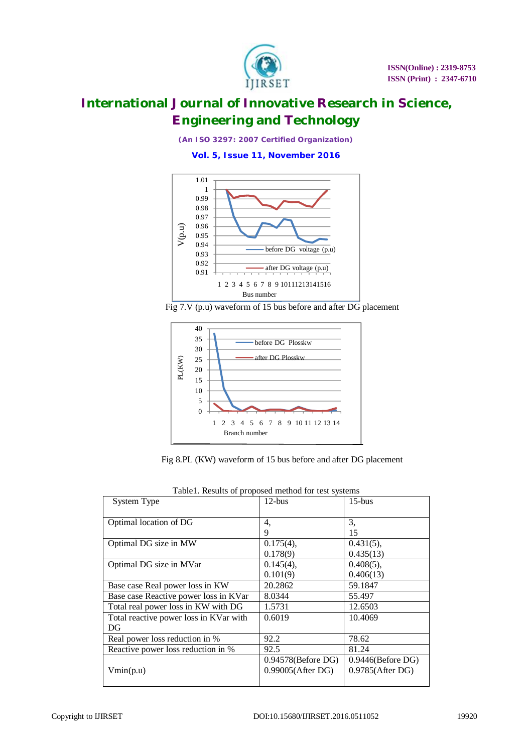

*(An ISO 3297: 2007 Certified Organization)*

**Vol. 5, Issue 11, November 2016**







Fig 8.PL (KW) waveform of 15 bus before and after DG placement

| System Type                            | $12$ -bus                                     | $15$ -bus                                   |
|----------------------------------------|-----------------------------------------------|---------------------------------------------|
| Optimal location of DG                 | 4,                                            | 3,                                          |
|                                        | 9                                             | 15                                          |
| Optimal DG size in MW                  | $0.175(4)$ ,                                  | $0.431(5)$ ,                                |
|                                        | 0.178(9)                                      | 0.435(13)                                   |
| Optimal DG size in MVar                | $0.145(4)$ ,                                  | $0.408(5)$ ,                                |
|                                        | 0.101(9)                                      | 0.406(13)                                   |
| Base case Real power loss in KW        | 20.2862                                       | 59.1847                                     |
| Base case Reactive power loss in KVar  | 8.0344                                        | 55.497                                      |
| Total real power loss in KW with DG    | 1.5731                                        | 12.6503                                     |
| Total reactive power loss in KVar with | 0.6019                                        | 10.4069                                     |
| DG                                     |                                               |                                             |
| Real power loss reduction in %         | 92.2                                          | 78.62                                       |
| Reactive power loss reduction in %     | 92.5                                          | 81.24                                       |
| Vmin(p.u)                              | $0.94578$ (Before DG)<br>$0.99005$ (After DG) | $0.9446$ (Before DG)<br>$0.9785$ (After DG) |
|                                        |                                               |                                             |

|  |  | Table1. Results of proposed method for test systems |  |  |
|--|--|-----------------------------------------------------|--|--|
|  |  |                                                     |  |  |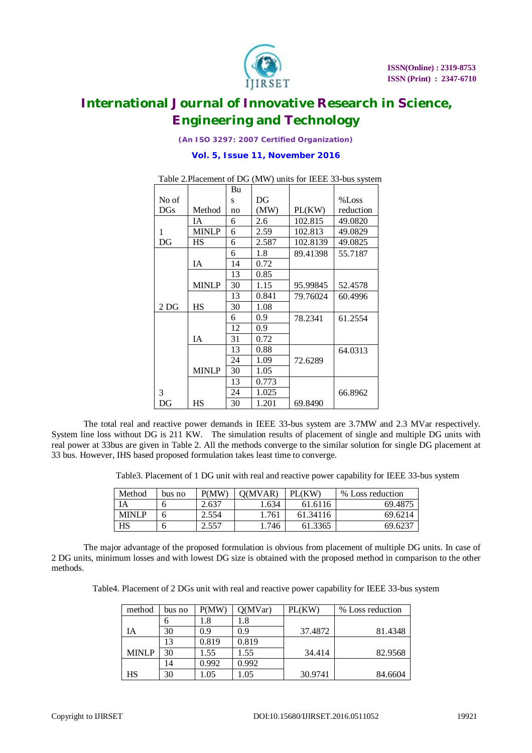

*(An ISO 3297: 2007 Certified Organization)*

### **Vol. 5, Issue 11, November 2016**

|                 |              | Bu |       |          |           |
|-----------------|--------------|----|-------|----------|-----------|
| No of           |              | S  | DG    |          | %Loss     |
| DG <sub>S</sub> | Method       | no | (MW)  | PL(KW)   | reduction |
|                 | IΑ           | 6  | 2.6   | 102.815  | 49.0820   |
| 1               | <b>MINLP</b> | 6  | 2.59  | 102.813  | 49.0829   |
| DG              | <b>HS</b>    | 6  | 2.587 | 102.8139 | 49.0825   |
|                 |              | 6  | 1.8   | 89.41398 | 55.7187   |
|                 | ĪΑ           | 14 | 0.72  |          |           |
|                 |              | 13 | 0.85  |          |           |
|                 | <b>MINLP</b> | 30 | 1.15  | 95.99845 | 52.4578   |
|                 |              | 13 | 0.841 | 79.76024 | 60.4996   |
| 2 <sub>DG</sub> | <b>HS</b>    | 30 | 1.08  |          |           |
|                 |              | 6  | 0.9   | 78.2341  | 61.2554   |
|                 |              | 12 | 0.9   |          |           |
|                 | ĪΑ           | 31 | 0.72  |          |           |
|                 |              | 13 | 0.88  |          | 64.0313   |
|                 |              | 24 | 1.09  | 72.6289  |           |
|                 | <b>MINLP</b> | 30 | 1.05  |          |           |
|                 |              | 13 | 0.773 |          |           |
| 3               |              | 24 | 1.025 |          | 66.8962   |
| DG              | HS           | 30 | 1.201 | 69.8490  |           |

Table 2.Placement of DG (MW) units for IEEE 33-bus system

The total real and reactive power demands in IEEE 33-bus system are 3.7MW and 2.3 MVar respectively. System line loss without DG is 211 KW. The simulation results of placement of single and multiple DG units with real power at 33bus are given in Table 2. All the methods converge to the similar solution for single DG placement at 33 bus. However, IHS based proposed formulation takes least time to converge.

Table3. Placement of 1 DG unit with real and reactive power capability for IEEE 33-bus system

| Method       | bus no | P(MW) | O(MVAR) | PL(KW    | $\%$<br>Loss reduction |
|--------------|--------|-------|---------|----------|------------------------|
| IΑ           | o      | 2.637 | .634    | 61.6116  | 69.4875                |
| <b>MINLP</b> | O      | 2.554 | .761    | 61.34116 | 69.6214                |
| HS           | o      | 2.557 | 746     | 61.3365  | 69.6237                |

The major advantage of the proposed formulation is obvious from placement of multiple DG units. In case of 2 DG units, minimum losses and with lowest DG size is obtained with the proposed method in comparison to the other methods.

Table4. Placement of 2 DGs unit with real and reactive power capability for IEEE 33-bus system

| method       | bus no | P(MW) | Q(MVar) | PL(KW)  | % Loss reduction |
|--------------|--------|-------|---------|---------|------------------|
|              | n      | 1.8   | 1.8     |         |                  |
| IA           | 30     | 0.9   | 0.9     | 37.4872 | 81.4348          |
|              | 13     | 0.819 | 0.819   |         |                  |
| <b>MINLP</b> | 30     | 1.55  | 1.55    | 34.414  | 82.9568          |
|              | 14     | 0.992 | 0.992   |         |                  |
| HS           | 30     | .05   | 1.05    | 30.9741 | 84.6604          |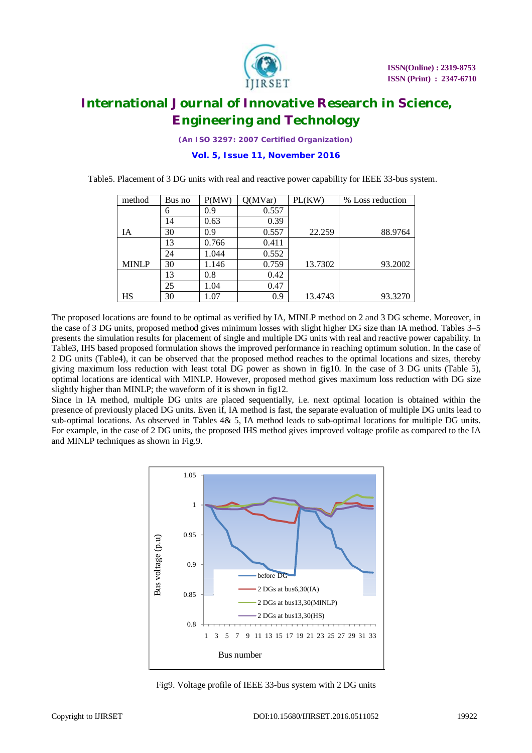

*(An ISO 3297: 2007 Certified Organization)*

**Vol. 5, Issue 11, November 2016**

Table5. Placement of 3 DG units with real and reactive power capability for IEEE 33-bus system.

| method       | Bus no | P(MW) | Q(MVar) | PL(KW)  | % Loss reduction |
|--------------|--------|-------|---------|---------|------------------|
|              | 6      | 0.9   | 0.557   |         |                  |
|              | 14     | 0.63  | 0.39    |         |                  |
| <b>IA</b>    | 30     | 0.9   | 0.557   | 22.259  | 88.9764          |
|              | 13     | 0.766 | 0.411   |         |                  |
|              | 24     | 1.044 | 0.552   |         |                  |
| <b>MINLP</b> | 30     | 1.146 | 0.759   | 13.7302 | 93.2002          |
|              | 13     | 0.8   | 0.42    |         |                  |
|              | 25     | 1.04  | 0.47    |         |                  |
| HS           | 30     | 1.07  | 0.9     | 13.4743 | 93.3270          |

The proposed locations are found to be optimal as verified by IA, MINLP method on 2 and 3 DG scheme. Moreover, in the case of 3 DG units, proposed method gives minimum losses with slight higher DG size than IA method. Tables 3–5 presents the simulation results for placement of single and multiple DG units with real and reactive power capability. In Table3, IHS based proposed formulation shows the improved performance in reaching optimum solution. In the case of 2 DG units (Table4), it can be observed that the proposed method reaches to the optimal locations and sizes, thereby giving maximum loss reduction with least total DG power as shown in fig10. In the case of 3 DG units (Table 5), optimal locations are identical with MINLP. However, proposed method gives maximum loss reduction with DG size slightly higher than MINLP; the waveform of it is shown in fig12.

Since in IA method, multiple DG units are placed sequentially, i.e. next optimal location is obtained within the presence of previously placed DG units. Even if, IA method is fast, the separate evaluation of multiple DG units lead to sub-optimal locations. As observed in Tables 4& 5, IA method leads to sub-optimal locations for multiple DG units. For example, in the case of 2 DG units, the proposed IHS method gives improved voltage profile as compared to the IA and MINLP techniques as shown in Fig.9.



Fig9. Voltage profile of IEEE 33-bus system with 2 DG units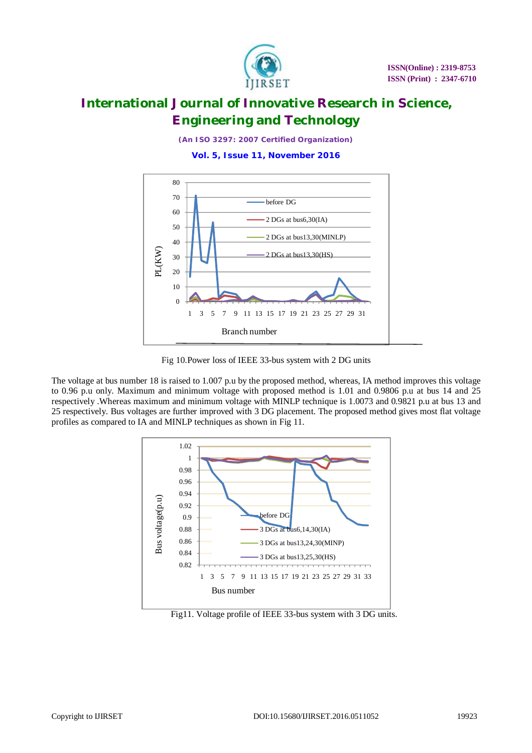

*(An ISO 3297: 2007 Certified Organization)*

**Vol. 5, Issue 11, November 2016**



Fig 10.Power loss of IEEE 33-bus system with 2 DG units

The voltage at bus number 18 is raised to 1.007 p.u by the proposed method, whereas, IA method improves this voltage to 0.96 p.u only. Maximum and minimum voltage with proposed method is 1.01 and 0.9806 p.u at bus 14 and 25 respectively .Whereas maximum and minimum voltage with MINLP technique is 1.0073 and 0.9821 p.u at bus 13 and 25 respectively. Bus voltages are further improved with 3 DG placement. The proposed method gives most flat voltage profiles as compared to IA and MINLP techniques as shown in Fig 11.



Fig11. Voltage profile of IEEE 33-bus system with 3 DG units.